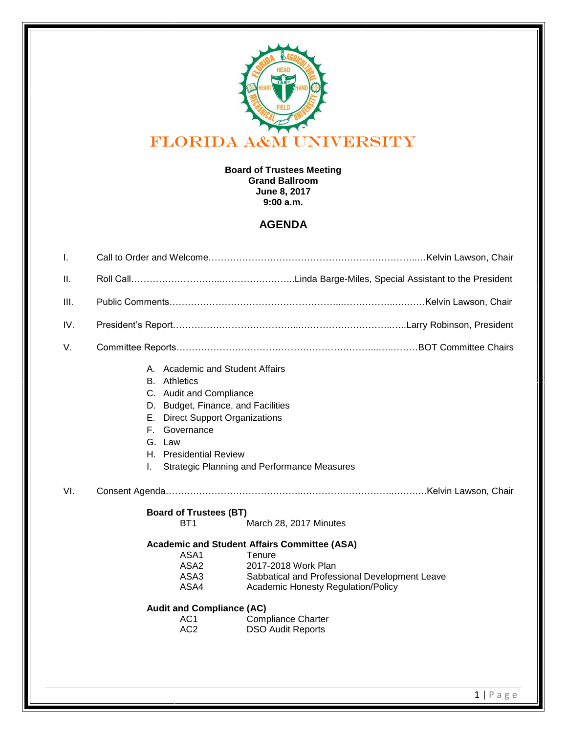

## **Board of Trustees Meeting Grand Ballroom June 8, 2017 9:00 a.m.**

## **AGENDA**

| $\mathbf{L}$ |                                                                                                                                                                                                                                                                                                                                                       |
|--------------|-------------------------------------------------------------------------------------------------------------------------------------------------------------------------------------------------------------------------------------------------------------------------------------------------------------------------------------------------------|
| ΙΙ.          |                                                                                                                                                                                                                                                                                                                                                       |
| III.         |                                                                                                                                                                                                                                                                                                                                                       |
| IV.          |                                                                                                                                                                                                                                                                                                                                                       |
| V.           |                                                                                                                                                                                                                                                                                                                                                       |
|              | A. Academic and Student Affairs<br><b>B.</b> Athletics<br>C. Audit and Compliance<br>D. Budget, Finance, and Facilities<br>E. Direct Support Organizations<br>F. Governance<br>G. Law<br>H. Presidential Review<br><b>Strategic Planning and Performance Measures</b>                                                                                 |
| VI.          |                                                                                                                                                                                                                                                                                                                                                       |
|              |                                                                                                                                                                                                                                                                                                                                                       |
|              |                                                                                                                                                                                                                                                                                                                                                       |
|              | <b>Board of Trustees (BT)</b><br>BT <sub>1</sub><br>March 28, 2017 Minutes                                                                                                                                                                                                                                                                            |
|              | <b>Academic and Student Affairs Committee (ASA)</b><br>ASA1<br>Tenure<br>ASA <sub>2</sub><br>2017-2018 Work Plan<br>ASA3<br>Sabbatical and Professional Development Leave<br>ASA4<br><b>Academic Honesty Regulation/Policy</b><br><b>Audit and Compliance (AC)</b><br><b>Compliance Charter</b><br>AC1<br>AC <sub>2</sub><br><b>DSO Audit Reports</b> |